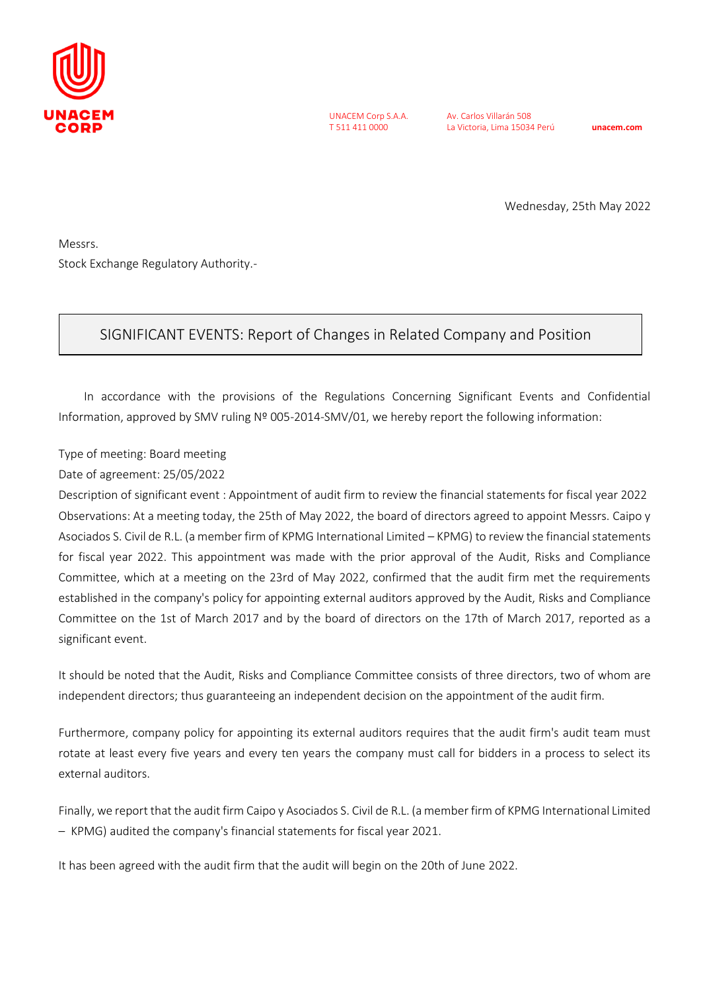

UNACEM Corp S.A.A. T 511 411 0000

Av. Carlos Villarán 508 La Victoria, Lima 15034 Perú **unacem.com**

Wednesday, 25th May 2022

Messrs. Stock Exchange Regulatory Authority.-

## SIGNIFICANT EVENTS: Report of Changes in Related Company and Position

In accordance with the provisions of the Regulations Concerning Significant Events and Confidential Information, approved by SMV ruling Nº 005-2014-SMV/01, we hereby report the following information:

Type of meeting: Board meeting

Date of agreement: 25/05/2022

Description of significant event : Appointment of audit firm to review the financial statements for fiscal year 2022 Observations: At a meeting today, the 25th of May 2022, the board of directors agreed to appoint Messrs. Caipo y Asociados S. Civil de R.L. (a member firm of KPMG International Limited – KPMG) to review the financial statements for fiscal year 2022. This appointment was made with the prior approval of the Audit, Risks and Compliance Committee, which at a meeting on the 23rd of May 2022, confirmed that the audit firm met the requirements established in the company's policy for appointing external auditors approved by the Audit, Risks and Compliance Committee on the 1st of March 2017 and by the board of directors on the 17th of March 2017, reported as a significant event.

It should be noted that the Audit, Risks and Compliance Committee consists of three directors, two of whom are independent directors; thus guaranteeing an independent decision on the appointment of the audit firm.

Furthermore, company policy for appointing its external auditors requires that the audit firm's audit team must rotate at least every five years and every ten years the company must call for bidders in a process to select its external auditors.

Finally, we report that the audit firm Caipo y Asociados S. Civil de R.L. (a member firm of KPMG International Limited – KPMG) audited the company's financial statements for fiscal year 2021.

It has been agreed with the audit firm that the audit will begin on the 20th of June 2022.